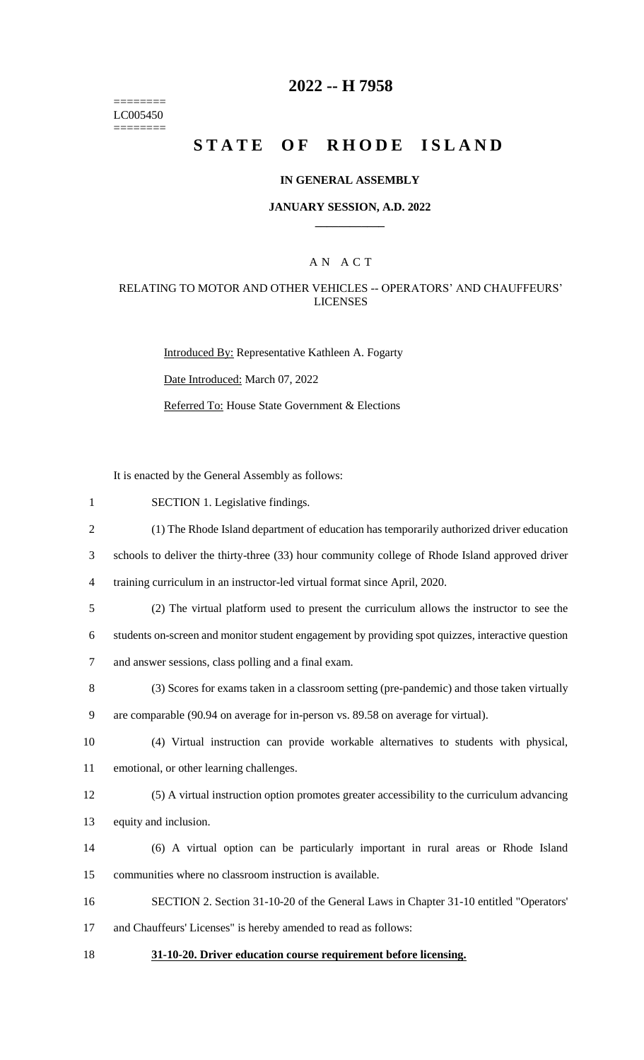======== LC005450  $=$ 

# **2022 -- H 7958**

# STATE OF RHODE ISLAND

## **IN GENERAL ASSEMBLY**

#### **JANUARY SESSION, A.D. 2022 \_\_\_\_\_\_\_\_\_\_\_\_**

## A N A C T

## RELATING TO MOTOR AND OTHER VEHICLES -- OPERATORS' AND CHAUFFEURS' LICENSES

Introduced By: Representative Kathleen A. Fogarty Date Introduced: March 07, 2022 Referred To: House State Government & Elections

It is enacted by the General Assembly as follows:

| $\mathbf{1}$   | SECTION 1. Legislative findings.                                                                  |
|----------------|---------------------------------------------------------------------------------------------------|
| $\overline{2}$ | (1) The Rhode Island department of education has temporarily authorized driver education          |
| 3              | schools to deliver the thirty-three (33) hour community college of Rhode Island approved driver   |
| $\overline{4}$ | training curriculum in an instructor-led virtual format since April, 2020.                        |
| 5              | (2) The virtual platform used to present the curriculum allows the instructor to see the          |
| 6              | students on-screen and monitor student engagement by providing spot quizzes, interactive question |
| $\tau$         | and answer sessions, class polling and a final exam.                                              |
| 8              | (3) Scores for exams taken in a classroom setting (pre-pandemic) and those taken virtually        |
| 9              | are comparable (90.94 on average for in-person vs. 89.58 on average for virtual).                 |
| 10             | (4) Virtual instruction can provide workable alternatives to students with physical,              |
| 11             | emotional, or other learning challenges.                                                          |
| 12             | (5) A virtual instruction option promotes greater accessibility to the curriculum advancing       |
| 13             | equity and inclusion.                                                                             |
| 14             | (6) A virtual option can be particularly important in rural areas or Rhode Island                 |
| 15             | communities where no classroom instruction is available.                                          |
| 16             | SECTION 2. Section 31-10-20 of the General Laws in Chapter 31-10 entitled "Operators'             |
| 17             | and Chauffeurs' Licenses" is hereby amended to read as follows:                                   |
| 18             | 31-10-20. Driver education course requirement before licensing.                                   |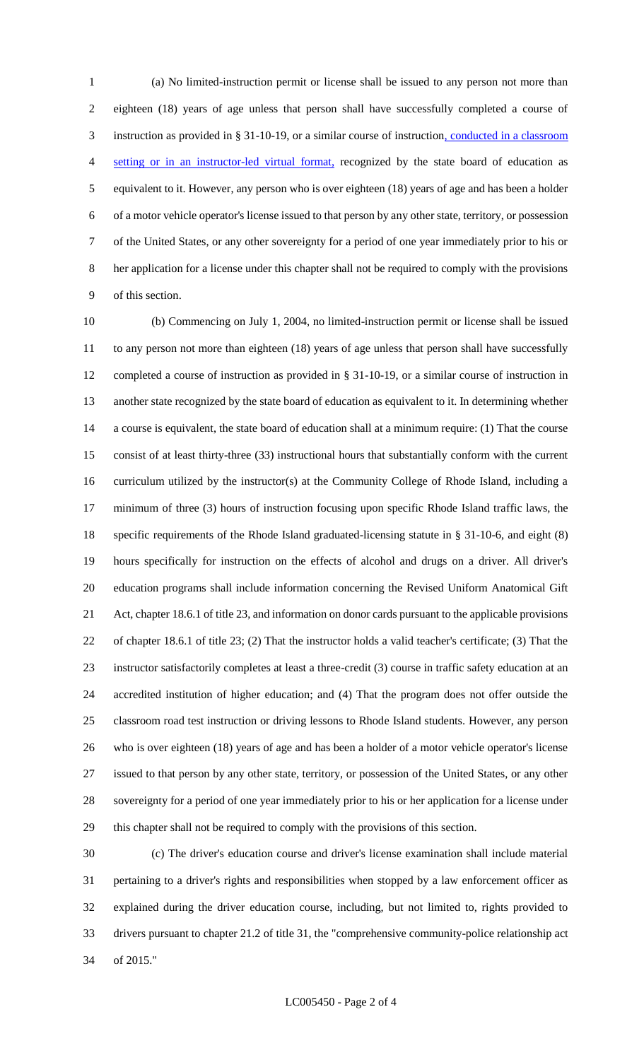(a) No limited-instruction permit or license shall be issued to any person not more than eighteen (18) years of age unless that person shall have successfully completed a course of instruction as provided in § 31-10-19, or a similar course of instruction, conducted in a classroom setting or in an instructor-led virtual format, recognized by the state board of education as equivalent to it. However, any person who is over eighteen (18) years of age and has been a holder of a motor vehicle operator's license issued to that person by any other state, territory, or possession of the United States, or any other sovereignty for a period of one year immediately prior to his or her application for a license under this chapter shall not be required to comply with the provisions of this section.

 (b) Commencing on July 1, 2004, no limited-instruction permit or license shall be issued to any person not more than eighteen (18) years of age unless that person shall have successfully completed a course of instruction as provided in § 31-10-19, or a similar course of instruction in another state recognized by the state board of education as equivalent to it. In determining whether a course is equivalent, the state board of education shall at a minimum require: (1) That the course consist of at least thirty-three (33) instructional hours that substantially conform with the current curriculum utilized by the instructor(s) at the Community College of Rhode Island, including a minimum of three (3) hours of instruction focusing upon specific Rhode Island traffic laws, the specific requirements of the Rhode Island graduated-licensing statute in § 31-10-6, and eight (8) hours specifically for instruction on the effects of alcohol and drugs on a driver. All driver's education programs shall include information concerning the Revised Uniform Anatomical Gift Act, chapter 18.6.1 of title 23, and information on donor cards pursuant to the applicable provisions of chapter 18.6.1 of title 23; (2) That the instructor holds a valid teacher's certificate; (3) That the instructor satisfactorily completes at least a three-credit (3) course in traffic safety education at an accredited institution of higher education; and (4) That the program does not offer outside the classroom road test instruction or driving lessons to Rhode Island students. However, any person who is over eighteen (18) years of age and has been a holder of a motor vehicle operator's license issued to that person by any other state, territory, or possession of the United States, or any other sovereignty for a period of one year immediately prior to his or her application for a license under this chapter shall not be required to comply with the provisions of this section.

 (c) The driver's education course and driver's license examination shall include material pertaining to a driver's rights and responsibilities when stopped by a law enforcement officer as explained during the driver education course, including, but not limited to, rights provided to drivers pursuant to chapter 21.2 of title 31, the "comprehensive community-police relationship act of 2015."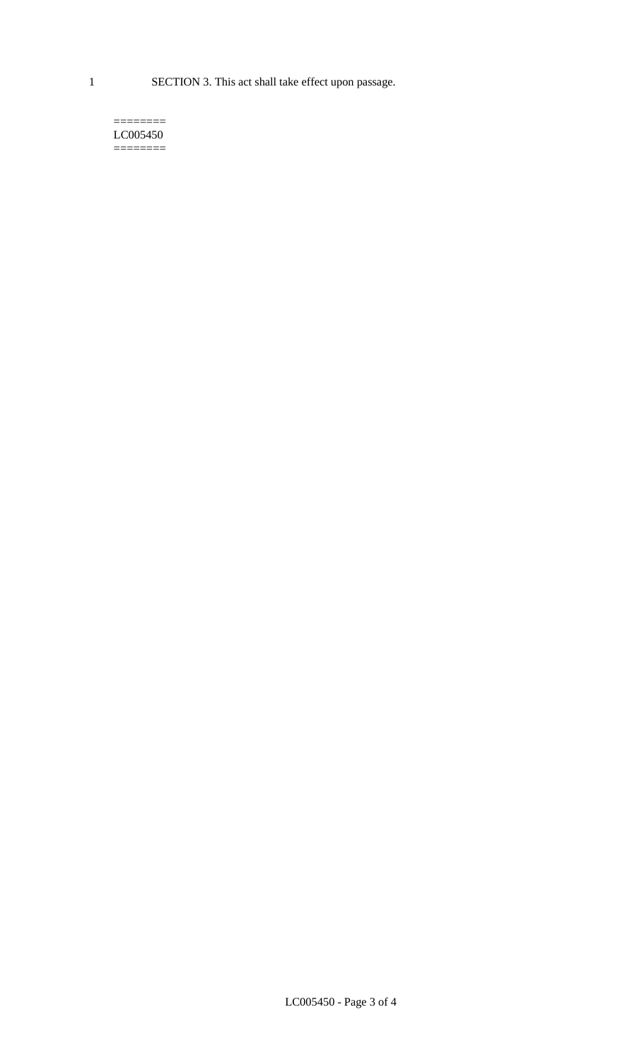1 SECTION 3. This act shall take effect upon passage.

#### $=$ LC005450 ========